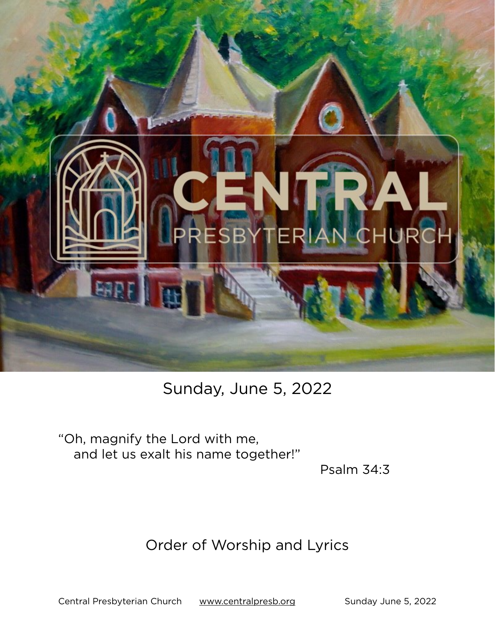

# Sunday, June 5, 2022

"Oh, magnify the Lord with me, and let us exalt his name together!"

Psalm 34:3

# Order of Worship and Lyrics

Central Presbyterian Church [www.centralpresb.org](http://www.centralpresb.org) Sunday June 5, 2022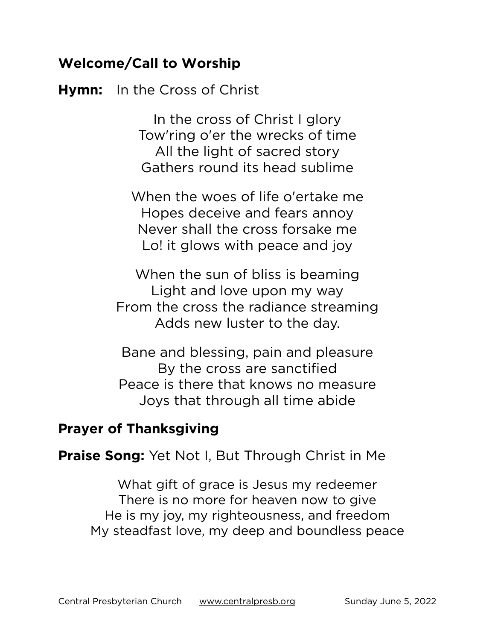# **Welcome/Call to Worship**

## **Hymn:** In the Cross of Christ

In the cross of Christ I glory Tow'ring o'er the wrecks of time All the light of sacred story Gathers round its head sublime

When the woes of life o'ertake me Hopes deceive and fears annoy Never shall the cross forsake me Lo! it glows with peace and joy

When the sun of bliss is beaming Light and love upon my way From the cross the radiance streaming Adds new luster to the day.

Bane and blessing, pain and pleasure By the cross are sanctified Peace is there that knows no measure Joys that through all time abide

## **Prayer of Thanksgiving**

**Praise Song:** Yet Not I, But Through Christ in Me

What gift of grace is Jesus my redeemer There is no more for heaven now to give He is my joy, my righteousness, and freedom My steadfast love, my deep and boundless peace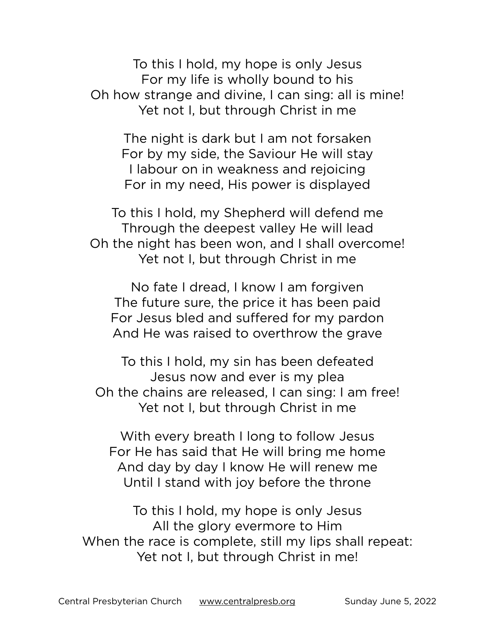To this I hold, my hope is only Jesus For my life is wholly bound to his Oh how strange and divine, I can sing: all is mine! Yet not I, but through Christ in me

The night is dark but I am not forsaken For by my side, the Saviour He will stay I labour on in weakness and rejoicing For in my need, His power is displayed

To this I hold, my Shepherd will defend me Through the deepest valley He will lead Oh the night has been won, and I shall overcome! Yet not I, but through Christ in me

No fate I dread, I know I am forgiven The future sure, the price it has been paid For Jesus bled and suffered for my pardon And He was raised to overthrow the grave

To this I hold, my sin has been defeated Jesus now and ever is my plea Oh the chains are released, I can sing: I am free! Yet not I, but through Christ in me

With every breath I long to follow Jesus For He has said that He will bring me home And day by day I know He will renew me Until I stand with joy before the throne

To this I hold, my hope is only Jesus All the glory evermore to Him When the race is complete, still my lips shall repeat: Yet not I, but through Christ in me!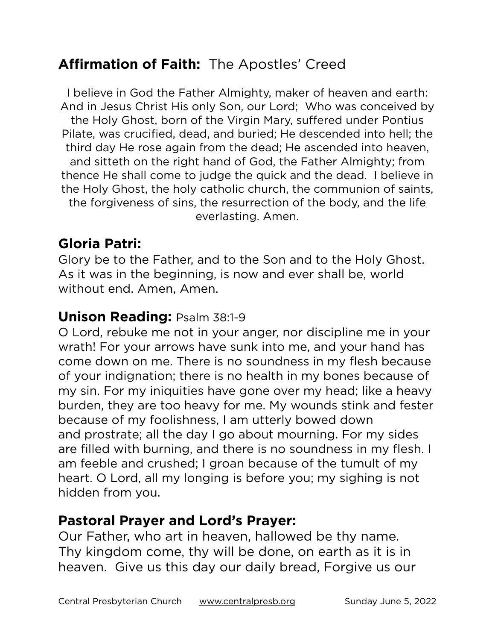# **Affirmation of Faith:** The Apostles' Creed

I believe in God the Father Almighty, maker of heaven and earth: And in Jesus Christ His only Son, our Lord; Who was conceived by the Holy Ghost, born of the Virgin Mary, suffered under Pontius Pilate, was crucified, dead, and buried; He descended into hell; the third day He rose again from the dead; He ascended into heaven, and sitteth on the right hand of God, the Father Almighty; from thence He shall come to judge the quick and the dead. I believe in the Holy Ghost, the holy catholic church, the communion of saints, the forgiveness of sins, the resurrection of the body, and the life everlasting. Amen.

## **Gloria Patri:**

Glory be to the Father, and to the Son and to the Holy Ghost. As it was in the beginning, is now and ever shall be, world without end. Amen, Amen.

### **Unison Reading:** Psalm 38:1-9

O Lord, rebuke me not in your anger, nor discipline me in your wrath! For your arrows have sunk into me, and your hand has come down on me. There is no soundness in my flesh because of your indignation; there is no health in my bones because of my sin. For my iniquities have gone over my head; like a heavy burden, they are too heavy for me. My wounds stink and fester because of my foolishness, I am utterly bowed down and prostrate; all the day I go about mourning. For my sides are filled with burning, and there is no soundness in my flesh. I am feeble and crushed; I groan because of the tumult of my heart. O Lord, all my longing is before you; my sighing is not hidden from you.

#### **Pastoral Prayer and Lord's Prayer:**

Our Father, who art in heaven, hallowed be thy name. Thy kingdom come, thy will be done, on earth as it is in heaven. Give us this day our daily bread, Forgive us our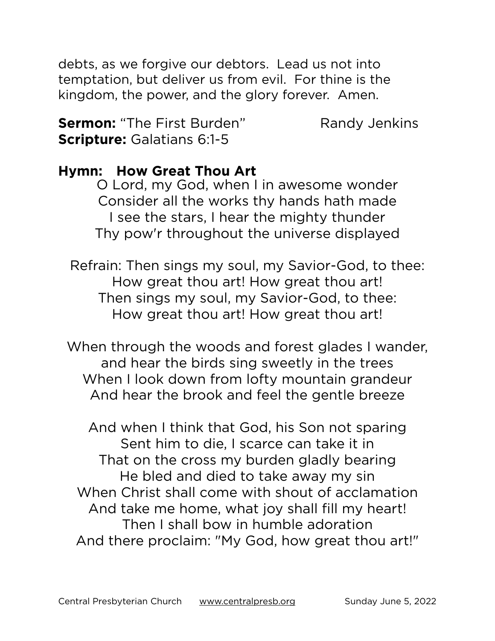debts, as we forgive our debtors. Lead us not into temptation, but deliver us from evil. For thine is the kingdom, the power, and the glory forever. Amen.

**Sermon:** "The First Burden" Randy Jenkins **Scripture:** Galatians 6:1-5

#### **Hymn: How Great Thou Art**

O Lord, my God, when I in awesome wonder Consider all the works thy hands hath made I see the stars, I hear the mighty thunder Thy pow'r throughout the universe displayed

Refrain: Then sings my soul, my Savior-God, to thee: How great thou art! How great thou art! Then sings my soul, my Savior-God, to thee: How great thou art! How great thou art!

When through the woods and forest glades I wander, and hear the birds sing sweetly in the trees When I look down from lofty mountain grandeur And hear the brook and feel the gentle breeze

And when I think that God, his Son not sparing Sent him to die, I scarce can take it in That on the cross my burden gladly bearing He bled and died to take away my sin When Christ shall come with shout of acclamation And take me home, what joy shall fill my heart! Then I shall bow in humble adoration And there proclaim: "My God, how great thou art!"